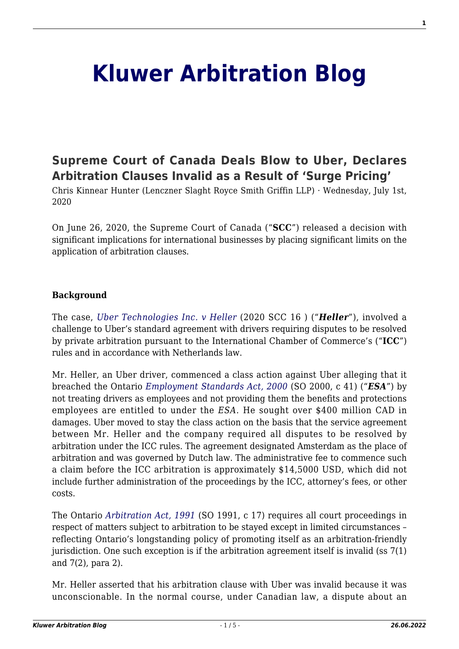# **[Kluwer Arbitration Blog](http://arbitrationblog.kluwerarbitration.com/)**

# **[Supreme Court of Canada Deals Blow to Uber, Declares](http://arbitrationblog.kluwerarbitration.com/2020/07/01/supreme-court-of-canada-deals-blow-to-uber-declares-arbitration-clauses-invalid-as-a-result-of-surge-pricing/) [Arbitration Clauses Invalid as a Result of 'Surge Pricing'](http://arbitrationblog.kluwerarbitration.com/2020/07/01/supreme-court-of-canada-deals-blow-to-uber-declares-arbitration-clauses-invalid-as-a-result-of-surge-pricing/)**

Chris Kinnear Hunter (Lenczner Slaght Royce Smith Griffin LLP) · Wednesday, July 1st, 2020

On June 26, 2020, the Supreme Court of Canada ("**SCC**") released a decision with significant implications for international businesses by placing significant limits on the application of arbitration clauses.

#### **Background**

The case, *[Uber Technologies Inc. v Heller](https://scc-csc.lexum.com/scc-csc/scc-csc/en/item/18406/index.do)* (2020 SCC 16 ) ("*Heller*"), involved a challenge to Uber's standard agreement with drivers requiring disputes to be resolved by private arbitration pursuant to the International Chamber of Commerce's ("**ICC**") rules and in accordance with Netherlands law.

Mr. Heller, an Uber driver, commenced a class action against Uber alleging that it breached the Ontario *[Employment Standards Act, 2000](https://www.ontario.ca/laws/statute/00e41)* (SO 2000, c 41) ("*ESA*") by not treating drivers as employees and not providing them the benefits and protections employees are entitled to under the *ESA.* He sought over \$400 million CAD in damages. Uber moved to stay the class action on the basis that the service agreement between Mr. Heller and the company required all disputes to be resolved by arbitration under the ICC rules. The agreement designated Amsterdam as the place of arbitration and was governed by Dutch law. The administrative fee to commence such a claim before the ICC arbitration is approximately \$14,5000 USD, which did not include further administration of the proceedings by the ICC, attorney's fees, or other costs.

The Ontario *[Arbitration Act, 1991](https://www.ontario.ca/laws/statute/91a17?search=arbitration+act)* (SO 1991, c 17) requires all court proceedings in respect of matters subject to arbitration to be stayed except in limited circumstances – reflecting Ontario's longstanding policy of promoting itself as an arbitration-friendly jurisdiction. One such exception is if the arbitration agreement itself is invalid (ss 7(1) and 7(2), para 2).

Mr. Heller asserted that his arbitration clause with Uber was invalid because it was unconscionable. In the normal course, under Canadian law, a dispute about an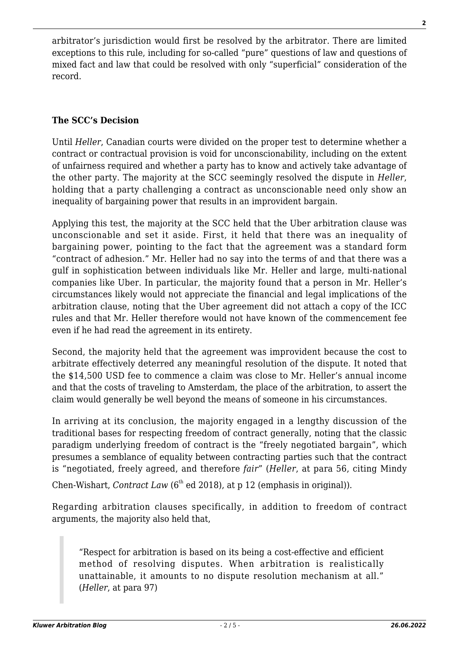arbitrator's jurisdiction would first be resolved by the arbitrator. There are limited exceptions to this rule, including for so-called "pure" questions of law and questions of mixed fact and law that could be resolved with only "superficial" consideration of the record.

## **The SCC's Decision**

Until *Heller*, Canadian courts were divided on the proper test to determine whether a contract or contractual provision is void for unconscionability, including on the extent of unfairness required and whether a party has to know and actively take advantage of the other party. The majority at the SCC seemingly resolved the dispute in *Heller*, holding that a party challenging a contract as unconscionable need only show an inequality of bargaining power that results in an improvident bargain.

Applying this test, the majority at the SCC held that the Uber arbitration clause was unconscionable and set it aside. First, it held that there was an inequality of bargaining power, pointing to the fact that the agreement was a standard form "contract of adhesion." Mr. Heller had no say into the terms of and that there was a gulf in sophistication between individuals like Mr. Heller and large, multi-national companies like Uber. In particular, the majority found that a person in Mr. Heller's circumstances likely would not appreciate the financial and legal implications of the arbitration clause, noting that the Uber agreement did not attach a copy of the ICC rules and that Mr. Heller therefore would not have known of the commencement fee even if he had read the agreement in its entirety.

Second, the majority held that the agreement was improvident because the cost to arbitrate effectively deterred any meaningful resolution of the dispute. It noted that the \$14,500 USD fee to commence a claim was close to Mr. Heller's annual income and that the costs of traveling to Amsterdam, the place of the arbitration, to assert the claim would generally be well beyond the means of someone in his circumstances.

In arriving at its conclusion, the majority engaged in a lengthy discussion of the traditional bases for respecting freedom of contract generally, noting that the classic paradigm underlying freedom of contract is the "freely negotiated bargain", which presumes a semblance of equality between contracting parties such that the contract is "negotiated, freely agreed, and therefore *fair*" (*Heller*, at para 56, citing Mindy

Chen-Wishart, *Contract Law* (6<sup>th</sup> ed 2018), at p 12 (emphasis in original)).

Regarding arbitration clauses specifically, in addition to freedom of contract arguments, the majority also held that,

"Respect for arbitration is based on its being a cost-effective and efficient method of resolving disputes. When arbitration is realistically unattainable, it amounts to no dispute resolution mechanism at all." (*Heller*, at para 97)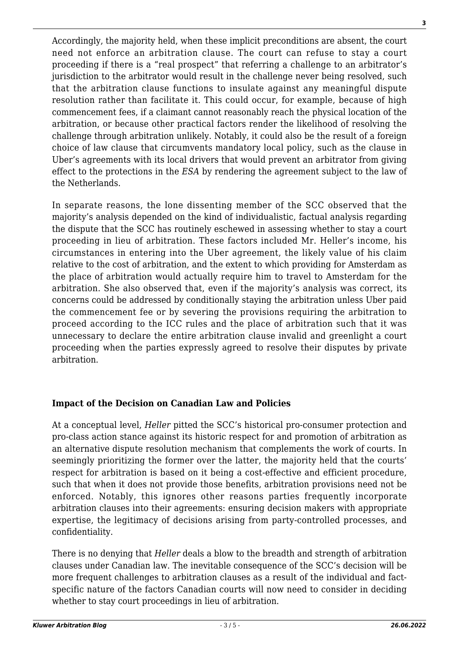Accordingly, the majority held, when these implicit preconditions are absent, the court need not enforce an arbitration clause. The court can refuse to stay a court proceeding if there is a "real prospect" that referring a challenge to an arbitrator's jurisdiction to the arbitrator would result in the challenge never being resolved, such that the arbitration clause functions to insulate against any meaningful dispute resolution rather than facilitate it. This could occur, for example, because of high commencement fees, if a claimant cannot reasonably reach the physical location of the arbitration, or because other practical factors render the likelihood of resolving the challenge through arbitration unlikely. Notably, it could also be the result of a foreign choice of law clause that circumvents mandatory local policy, such as the clause in Uber's agreements with its local drivers that would prevent an arbitrator from giving effect to the protections in the *ESA* by rendering the agreement subject to the law of the Netherlands.

In separate reasons, the lone dissenting member of the SCC observed that the majority's analysis depended on the kind of individualistic, factual analysis regarding the dispute that the SCC has routinely eschewed in assessing whether to stay a court proceeding in lieu of arbitration. These factors included Mr. Heller's income, his circumstances in entering into the Uber agreement, the likely value of his claim relative to the cost of arbitration, and the extent to which providing for Amsterdam as the place of arbitration would actually require him to travel to Amsterdam for the arbitration. She also observed that, even if the majority's analysis was correct, its concerns could be addressed by conditionally staying the arbitration unless Uber paid the commencement fee or by severing the provisions requiring the arbitration to proceed according to the ICC rules and the place of arbitration such that it was unnecessary to declare the entire arbitration clause invalid and greenlight a court proceeding when the parties expressly agreed to resolve their disputes by private arbitration.

### **Impact of the Decision on Canadian Law and Policies**

At a conceptual level, *Heller* pitted the SCC's historical pro-consumer protection and pro-class action stance against its historic respect for and promotion of arbitration as an alternative dispute resolution mechanism that complements the work of courts. In seemingly prioritizing the former over the latter, the majority held that the courts' respect for arbitration is based on it being a cost-effective and efficient procedure, such that when it does not provide those benefits, arbitration provisions need not be enforced. Notably, this ignores other reasons parties frequently incorporate arbitration clauses into their agreements: ensuring decision makers with appropriate expertise, the legitimacy of decisions arising from party-controlled processes, and confidentiality.

There is no denying that *Heller* deals a blow to the breadth and strength of arbitration clauses under Canadian law. The inevitable consequence of the SCC's decision will be more frequent challenges to arbitration clauses as a result of the individual and factspecific nature of the factors Canadian courts will now need to consider in deciding whether to stay court proceedings in lieu of arbitration.

**3**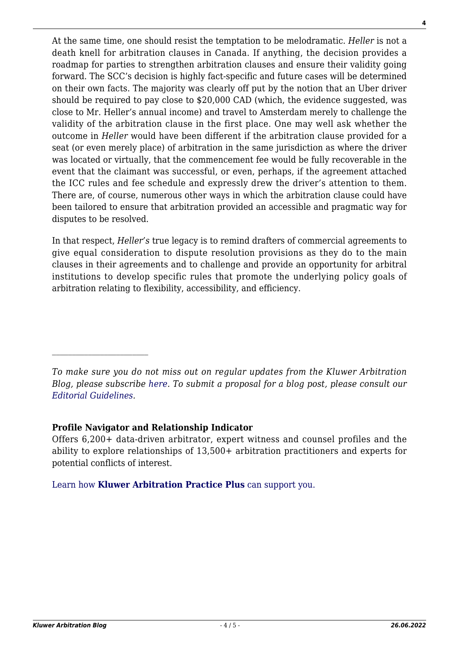At the same time, one should resist the temptation to be melodramatic. *Heller* is not a death knell for arbitration clauses in Canada. If anything, the decision provides a roadmap for parties to strengthen arbitration clauses and ensure their validity going forward. The SCC's decision is highly fact-specific and future cases will be determined on their own facts. The majority was clearly off put by the notion that an Uber driver should be required to pay close to \$20,000 CAD (which, the evidence suggested, was close to Mr. Heller's annual income) and travel to Amsterdam merely to challenge the validity of the arbitration clause in the first place. One may well ask whether the outcome in *Heller* would have been different if the arbitration clause provided for a seat (or even merely place) of arbitration in the same jurisdiction as where the driver was located or virtually, that the commencement fee would be fully recoverable in the event that the claimant was successful, or even, perhaps, if the agreement attached the ICC rules and fee schedule and expressly drew the driver's attention to them. There are, of course, numerous other ways in which the arbitration clause could have been tailored to ensure that arbitration provided an accessible and pragmatic way for disputes to be resolved.

In that respect, *Heller's* true legacy is to remind drafters of commercial agreements to give equal consideration to dispute resolution provisions as they do to the main clauses in their agreements and to challenge and provide an opportunity for arbitral institutions to develop specific rules that promote the underlying policy goals of arbitration relating to flexibility, accessibility, and efficiency.

#### **Profile Navigator and Relationship Indicator**

Offers 6,200+ data-driven arbitrator, expert witness and counsel profiles and the ability to explore relationships of 13,500+ arbitration practitioners and experts for potential conflicts of interest.

[Learn how](https://www.wolterskluwer.com/en/solutions/kluwerarbitration/practiceplus?utm_source=arbitrationblog&utm_medium=articleCTA&utm_campaign=article-banner) **[Kluwer Arbitration Practice Plus](https://www.wolterskluwer.com/en/solutions/kluwerarbitration/practiceplus?utm_source=arbitrationblog&utm_medium=articleCTA&utm_campaign=article-banner)** [can support you.](https://www.wolterskluwer.com/en/solutions/kluwerarbitration/practiceplus?utm_source=arbitrationblog&utm_medium=articleCTA&utm_campaign=article-banner)

*To make sure you do not miss out on regular updates from the Kluwer Arbitration Blog, please subscribe [here](http://arbitrationblog.kluwerarbitration.com/newsletter/). To submit a proposal for a blog post, please consult our [Editorial Guidelines.](http://arbitrationblog.kluwerarbitration.com/editorial-guidelines/)*